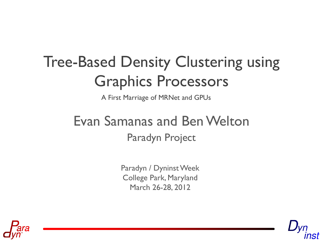# Tree-Based Density Clustering using Graphics Processors

A First Marriage of MRNet and GPUs

#### Paradyn Project Evan Samanas and Ben Welton

Paradyn / Dyninst Week College Park, Maryland March 26-28, 2012



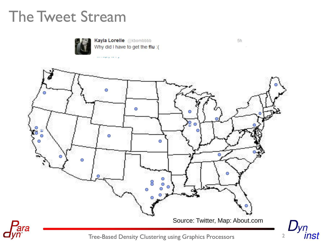#### The Tweet Stream



Kayla Lorelle @kbombbbb Why did I have to get the flu :(



 $5h$ 

inst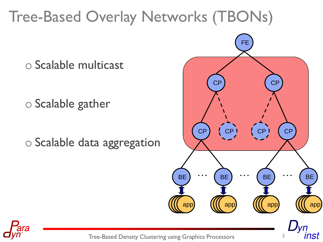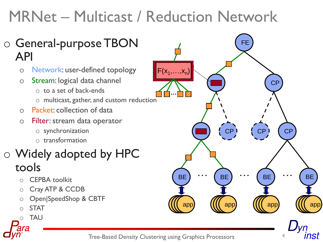## MRNet – Multicast / Reduction Network



- o Network: user-defined topology
- o Stream: logical data channel
	- o to a set of back-ends
	- o multicast, gather, and custom reduction
- o Packet: collection of data
- o Filter: stream data operator
	- o synchronization
	- o transformation

#### o Widely adopted by HPC tools

- **CEPBA toolkit**
- o Cray ATP & CCDB
- o Open|SpeedShop & CBTF
- **STAT**
- **TAU**



nst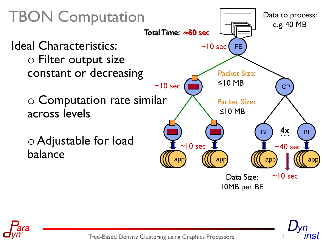

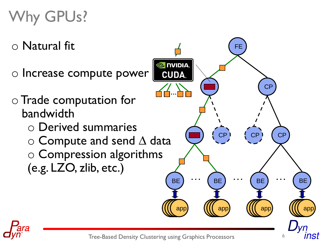## Why GPUs?

- o Natural fit
- $\circ$  Increase compute power
- o Trade computation for bandwidth
	- o Derived summaries
	- o Compute and send ∆ data o Compression algorithms (e.g. LZO, zlib, etc.)



ınst

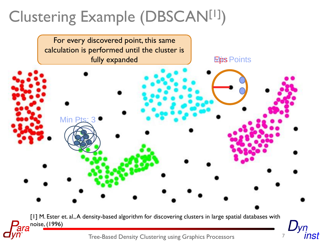# Clustering Example (DBSCAN[1])

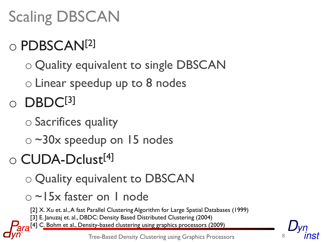# Scaling DBSCAN

## o PDBSCAN[2]

- o Quality equivalent to single DBSCAN
- o Linear speedup up to 8 nodes

 $\circ$  DBDC[3]

- o Sacrifices quality
- o ~30x speedup on 15 nodes

# o CUDA-Dclust[4]

- o Quality equivalent to DBSCAN
- o ~15x faster on 1 node
	- [2] X. Xu et. al., A fast Parallel Clustering Algorithm for Large Spatial Databases (1999)
- [3] E. Januzaj et. al., DBDC: Density Based Distributed Clustering (2004)
- [4] C. Bohm et al., Density-based clustering using graphics processors (2009)

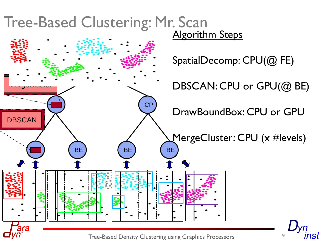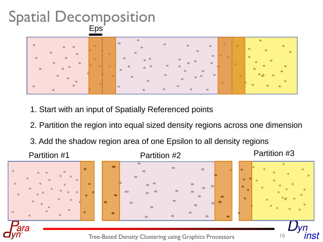#### Spatial Decomposition Eps



- 1. Start with an input of Spatially Referenced points
- 2. Partition the region into equal sized density regions across one dimension
- 3. Add the shadow region area of one Epsilon to all density regions

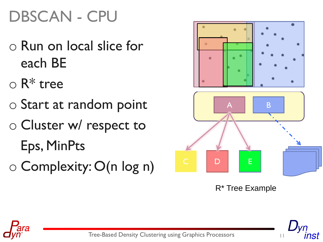# DBSCAN - CPU

- o Run on local slice for each BE
- $\circ$  R<sup>\*</sup> tree
- o Start at random point
- o Cluster w/ respect to Eps, MinPts
- o Complexity: O(n log n)



R\* Tree Example

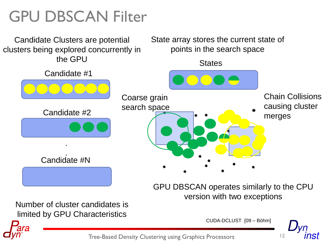## GPU DBSCAN Filter

Candidate Clusters are potential clusters being explored concurrently in the GPU

State array stores the current state of points in the search space

Candidate #1 Candidate #2 . . Candidate #N **States** GPU DBSCAN operates similarly to the CPU version with two exceptions Coarse grain search space Chain Collisions causing cluster merges

Number of cluster candidates is limited by GPU Characteristics

CUDA-DCLUST [09 – Böhm]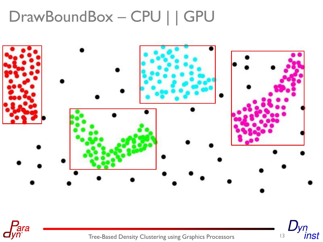## DrawBoundBox – CPU | | GPU





Tree-Based Density Clustering using Graphics Processors 13

 $D_{yn}$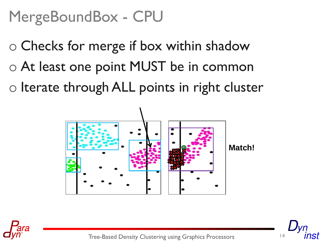## MergeBoundBox - CPU

- o Checks for merge if box within shadow o At least one point MUST be in common
- o Iterate through ALL points in right cluster





Tree-Based Density Clustering using Graphics Processors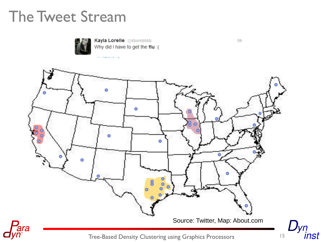#### The Tweet Stream



Kayla Lorelle @kbombbbb Why did I have to get the flu :(



 $5h$ 

inst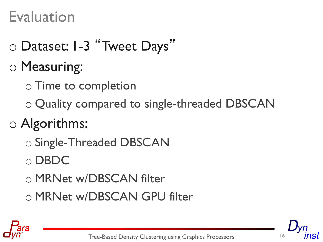## Evaluation

- o Dataset: 1-3 "Tweet Days"
- o Measuring:
	- o Time to completion
	- o Quality compared to single-threaded DBSCAN
- o Algorithms:
	- o Single-Threaded DBSCAN
	- o DBDC
	- o MRNet w/DBSCAN filter
	- o MRNet w/DBSCAN GPU filter



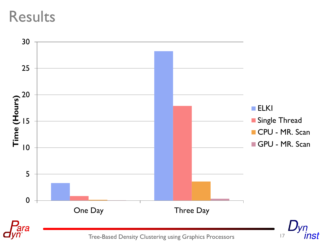#### Results

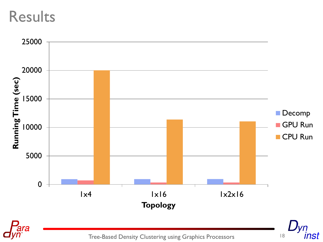#### Results

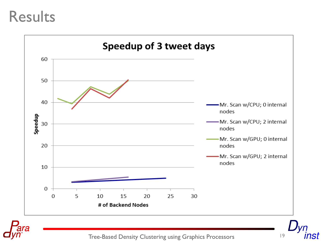#### Results





Tree-Based Density Clustering using Graphics Processors 19

nst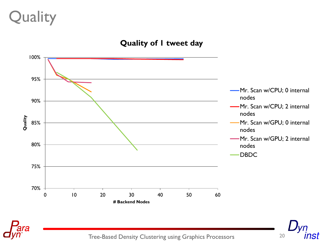## Quality

#### **Quality of 1 tweet day**

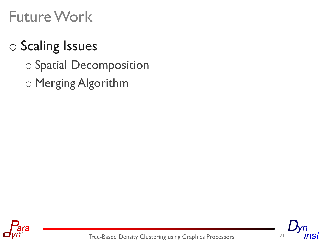### Future Work

#### o Scaling Issues

- o Spatial Decomposition
- o Merging Algorithm



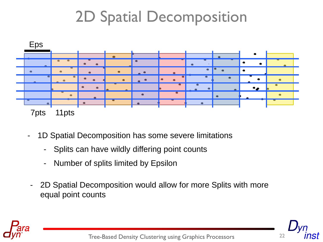## 2D Spatial Decomposition



- 1D Spatial Decomposition has some severe limitations
	- Splits can have wildly differing point counts
	- Number of splits limited by Epsilon
	- 2D Spatial Decomposition would allow for more Splits with more equal point counts

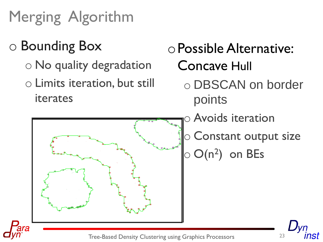Merging Algorithm



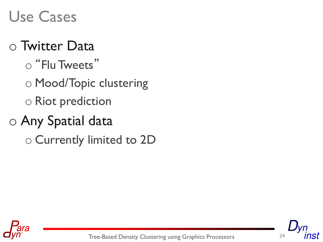## Use Cases

#### o Twitter Data

- o "Flu Tweets"
- o Mood/Topic clustering o Riot prediction

## o Any Spatial data

o Currently limited to 2D